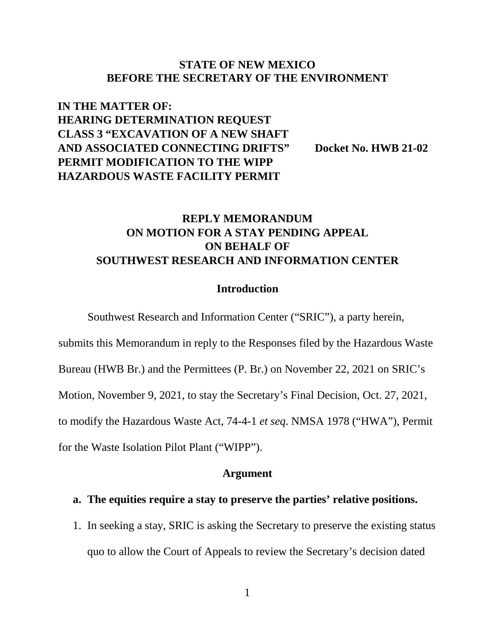## **STATE OF NEW MEXICO BEFORE THE SECRETARY OF THE ENVIRONMENT**

# **IN THE MATTER OF: HEARING DETERMINATION REQUEST CLASS 3 "EXCAVATION OF A NEW SHAFT AND ASSOCIATED CONNECTING DRIFTS" Docket No. HWB 21-02 PERMIT MODIFICATION TO THE WIPP HAZARDOUS WASTE FACILITY PERMIT**

# **REPLY MEMORANDUM ON MOTION FOR A STAY PENDING APPEAL ON BEHALF OF SOUTHWEST RESEARCH AND INFORMATION CENTER**

## **Introduction**

Southwest Research and Information Center ("SRIC"), a party herein,

submits this Memorandum in reply to the Responses filed by the Hazardous Waste

Bureau (HWB Br.) and the Permittees (P. Br.) on November 22, 2021 on SRIC's

Motion, November 9, 2021, to stay the Secretary's Final Decision, Oct. 27, 2021,

to modify the Hazardous Waste Act, 74-4-1 *et seq*. NMSA 1978 ("HWA"), Permit

for the Waste Isolation Pilot Plant ("WIPP").

#### **Argument**

# **a. The equities require a stay to preserve the parties' relative positions.**

1. In seeking a stay, SRIC is asking the Secretary to preserve the existing status quo to allow the Court of Appeals to review the Secretary's decision dated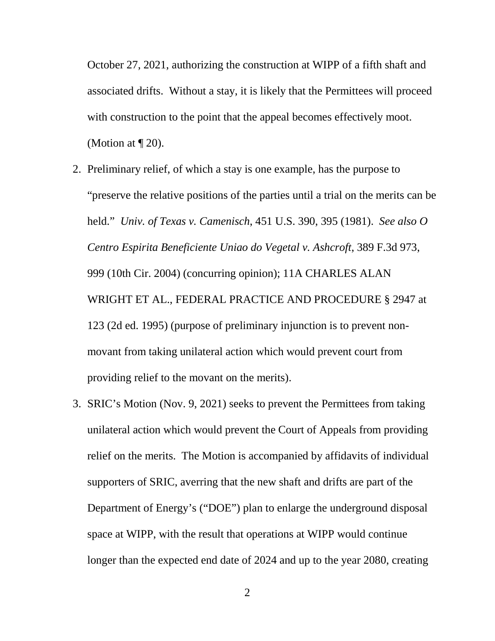October 27, 2021, authorizing the construction at WIPP of a fifth shaft and associated drifts. Without a stay, it is likely that the Permittees will proceed with construction to the point that the appeal becomes effectively moot. (Motion at  $\P$  20).

- 2. Preliminary relief, of which a stay is one example, has the purpose to "preserve the relative positions of the parties until a trial on the merits can be held." *Univ. of Texas v. Camenisch*, 451 U.S. 390, 395 (1981). *See also O Centro Espirita Beneficiente Uniao do Vegetal v. Ashcroft*, 389 F.3d 973, 999 (10th Cir. 2004) (concurring opinion); 11A CHARLES ALAN WRIGHT ET AL., FEDERAL PRACTICE AND PROCEDURE § 2947 at 123 (2d ed. 1995) (purpose of preliminary injunction is to prevent nonmovant from taking unilateral action which would prevent court from providing relief to the movant on the merits).
- 3. SRIC's Motion (Nov. 9, 2021) seeks to prevent the Permittees from taking unilateral action which would prevent the Court of Appeals from providing relief on the merits. The Motion is accompanied by affidavits of individual supporters of SRIC, averring that the new shaft and drifts are part of the Department of Energy's ("DOE") plan to enlarge the underground disposal space at WIPP, with the result that operations at WIPP would continue longer than the expected end date of 2024 and up to the year 2080, creating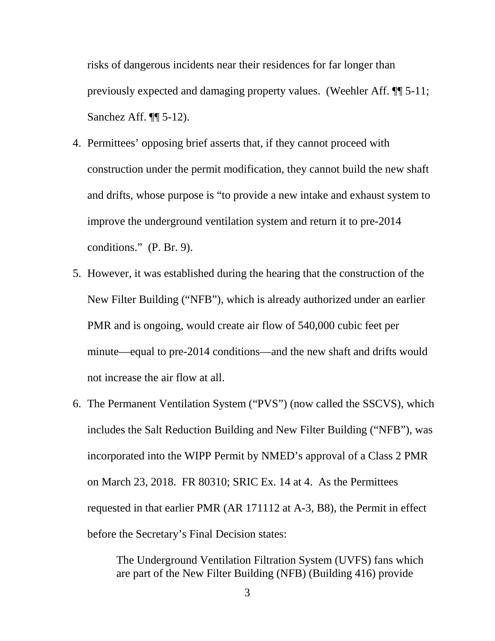risks of dangerous incidents near their residences for far longer than previously expected and damaging property values. (Weehler Aff. ¶¶ 5-11; Sanchez Aff. ¶¶ 5-12).

- 4. Permittees' opposing brief asserts that, if they cannot proceed with construction under the permit modification, they cannot build the new shaft and drifts, whose purpose is "to provide a new intake and exhaust system to improve the underground ventilation system and return it to pre-2014 conditions." (P. Br. 9).
- 5. However, it was established during the hearing that the construction of the New Filter Building ("NFB"), which is already authorized under an earlier PMR and is ongoing, would create air flow of 540,000 cubic feet per minute—equal to pre-2014 conditions—and the new shaft and drifts would not increase the air flow at all.
- 6. The Permanent Ventilation System ("PVS") (now called the SSCVS), which includes the Salt Reduction Building and New Filter Building ("NFB"), was incorporated into the WIPP Permit by NMED's approval of a Class 2 PMR on March 23, 2018. FR 80310; SRIC Ex. 14 at 4. As the Permittees requested in that earlier PMR (AR 171112 at A-3, B8), the Permit in effect before the Secretary's Final Decision states:

The Underground Ventilation Filtration System (UVFS) fans which are part of the New Filter Building (NFB) (Building 416) provide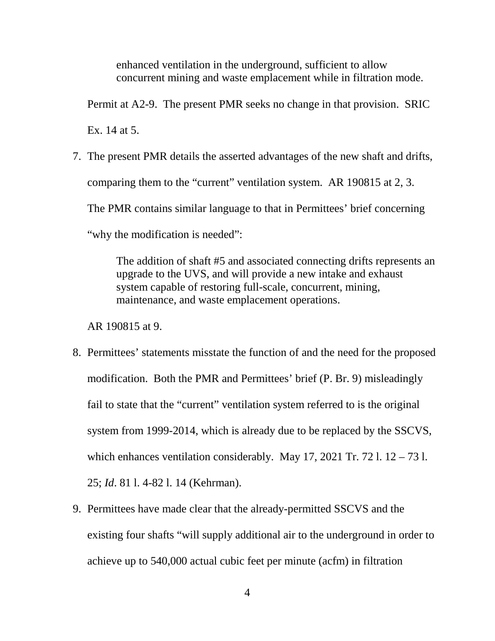enhanced ventilation in the underground, sufficient to allow concurrent mining and waste emplacement while in filtration mode.

Permit at A2-9. The present PMR seeks no change in that provision. SRIC Ex. 14 at 5.

7. The present PMR details the asserted advantages of the new shaft and drifts, comparing them to the "current" ventilation system. AR 190815 at 2, 3. The PMR contains similar language to that in Permittees' brief concerning "why the modification is needed":

> The addition of shaft #5 and associated connecting drifts represents an upgrade to the UVS, and will provide a new intake and exhaust system capable of restoring full-scale, concurrent, mining, maintenance, and waste emplacement operations.

AR 190815 at 9.

- 8. Permittees' statements misstate the function of and the need for the proposed modification. Both the PMR and Permittees' brief (P. Br. 9) misleadingly fail to state that the "current" ventilation system referred to is the original system from 1999-2014, which is already due to be replaced by the SSCVS, which enhances ventilation considerably. May 17, 2021 Tr. 72 l.  $12 - 73$  l. 25; *Id*. 81 l. 4-82 l. 14 (Kehrman).
- 9. Permittees have made clear that the already-permitted SSCVS and the existing four shafts "will supply additional air to the underground in order to achieve up to 540,000 actual cubic feet per minute (acfm) in filtration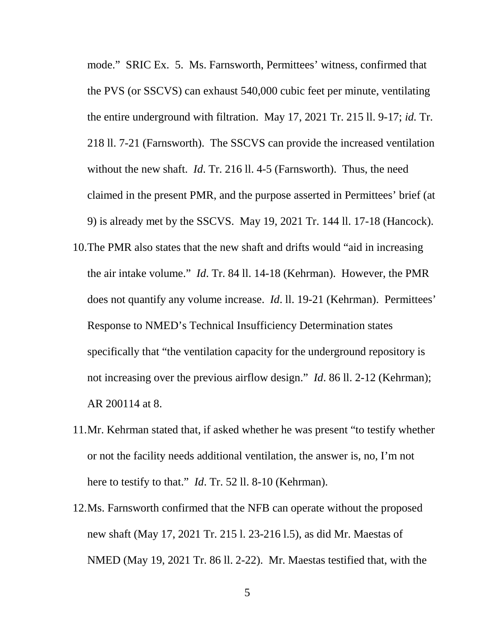mode." SRIC Ex. 5. Ms. Farnsworth, Permittees' witness, confirmed that the PVS (or SSCVS) can exhaust 540,000 cubic feet per minute, ventilating the entire underground with filtration. May 17, 2021 Tr. 215 ll. 9-17; *id.* Tr. 218 ll. 7-21 (Farnsworth). The SSCVS can provide the increased ventilation without the new shaft. *Id*. Tr. 216 ll. 4-5 (Farnsworth). Thus, the need claimed in the present PMR, and the purpose asserted in Permittees' brief (at 9) is already met by the SSCVS. May 19, 2021 Tr. 144 ll. 17-18 (Hancock).

- 10.The PMR also states that the new shaft and drifts would "aid in increasing the air intake volume." *Id*. Tr. 84 ll. 14-18 (Kehrman). However, the PMR does not quantify any volume increase. *Id*. ll. 19-21 (Kehrman). Permittees' Response to NMED's Technical Insufficiency Determination states specifically that "the ventilation capacity for the underground repository is not increasing over the previous airflow design." *Id*. 86 ll. 2-12 (Kehrman); AR 200114 at 8.
- 11.Mr. Kehrman stated that, if asked whether he was present "to testify whether or not the facility needs additional ventilation, the answer is, no, I'm not here to testify to that." *Id*. Tr. 52 ll. 8-10 (Kehrman).
- 12.Ms. Farnsworth confirmed that the NFB can operate without the proposed new shaft (May 17, 2021 Tr. 215 l. 23-216 l.5), as did Mr. Maestas of NMED (May 19, 2021 Tr. 86 ll. 2-22). Mr. Maestas testified that, with the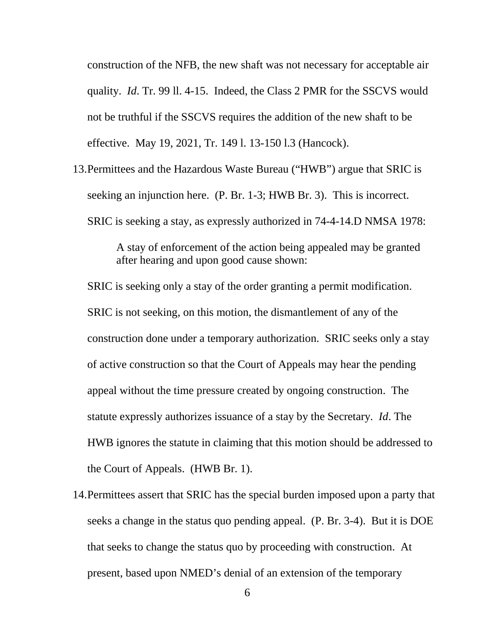construction of the NFB, the new shaft was not necessary for acceptable air quality. *Id*. Tr. 99 ll. 4-15. Indeed, the Class 2 PMR for the SSCVS would not be truthful if the SSCVS requires the addition of the new shaft to be effective. May 19, 2021, Tr. 149 l. 13-150 l.3 (Hancock).

13.Permittees and the Hazardous Waste Bureau ("HWB") argue that SRIC is seeking an injunction here. (P. Br. 1-3; HWB Br. 3). This is incorrect. SRIC is seeking a stay, as expressly authorized in 74-4-14.D NMSA 1978:

> A stay of enforcement of the action being appealed may be granted after hearing and upon good cause shown:

SRIC is seeking only a stay of the order granting a permit modification. SRIC is not seeking, on this motion, the dismantlement of any of the construction done under a temporary authorization. SRIC seeks only a stay of active construction so that the Court of Appeals may hear the pending appeal without the time pressure created by ongoing construction. The statute expressly authorizes issuance of a stay by the Secretary. *Id*. The HWB ignores the statute in claiming that this motion should be addressed to the Court of Appeals. (HWB Br. 1).

14.Permittees assert that SRIC has the special burden imposed upon a party that seeks a change in the status quo pending appeal. (P. Br. 3-4). But it is DOE that seeks to change the status quo by proceeding with construction. At present, based upon NMED's denial of an extension of the temporary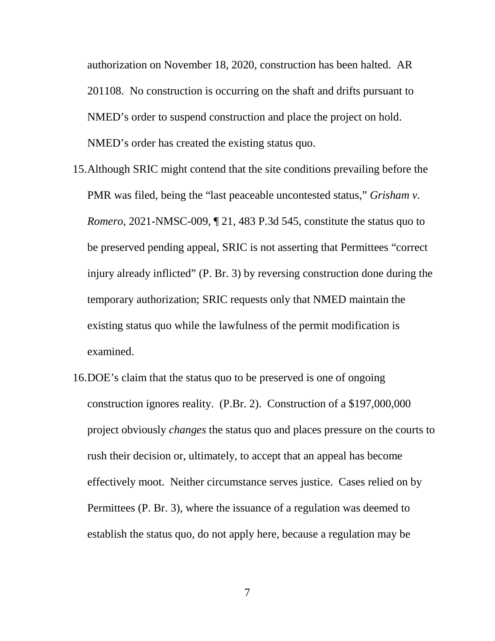authorization on November 18, 2020, construction has been halted. AR 201108. No construction is occurring on the shaft and drifts pursuant to NMED's order to suspend construction and place the project on hold. NMED's order has created the existing status quo.

- 15.Although SRIC might contend that the site conditions prevailing before the PMR was filed, being the "last peaceable uncontested status," *Grisham v. Romero*, 2021-NMSC-009, ¶ 21, 483 P.3d 545, constitute the status quo to be preserved pending appeal, SRIC is not asserting that Permittees "correct injury already inflicted" (P. Br. 3) by reversing construction done during the temporary authorization; SRIC requests only that NMED maintain the existing status quo while the lawfulness of the permit modification is examined.
- 16.DOE's claim that the status quo to be preserved is one of ongoing construction ignores reality. (P.Br. 2). Construction of a \$197,000,000 project obviously *changes* the status quo and places pressure on the courts to rush their decision or, ultimately, to accept that an appeal has become effectively moot. Neither circumstance serves justice. Cases relied on by Permittees (P. Br. 3), where the issuance of a regulation was deemed to establish the status quo, do not apply here, because a regulation may be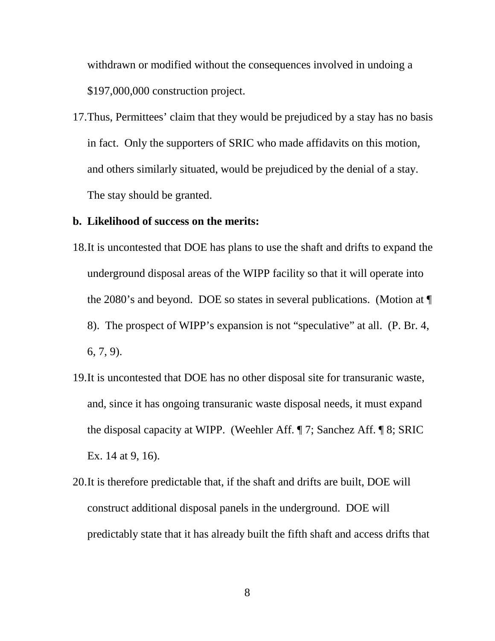withdrawn or modified without the consequences involved in undoing a \$197,000,000 construction project.

17.Thus, Permittees' claim that they would be prejudiced by a stay has no basis in fact. Only the supporters of SRIC who made affidavits on this motion, and others similarly situated, would be prejudiced by the denial of a stay. The stay should be granted.

### **b. Likelihood of success on the merits:**

- 18.It is uncontested that DOE has plans to use the shaft and drifts to expand the underground disposal areas of the WIPP facility so that it will operate into the 2080's and beyond. DOE so states in several publications. (Motion at ¶ 8). The prospect of WIPP's expansion is not "speculative" at all. (P. Br. 4, 6, 7, 9).
- 19.It is uncontested that DOE has no other disposal site for transuranic waste, and, since it has ongoing transuranic waste disposal needs, it must expand the disposal capacity at WIPP. (Weehler Aff. ¶ 7; Sanchez Aff. ¶ 8; SRIC Ex. 14 at 9, 16).
- 20.It is therefore predictable that, if the shaft and drifts are built, DOE will construct additional disposal panels in the underground. DOE will predictably state that it has already built the fifth shaft and access drifts that

8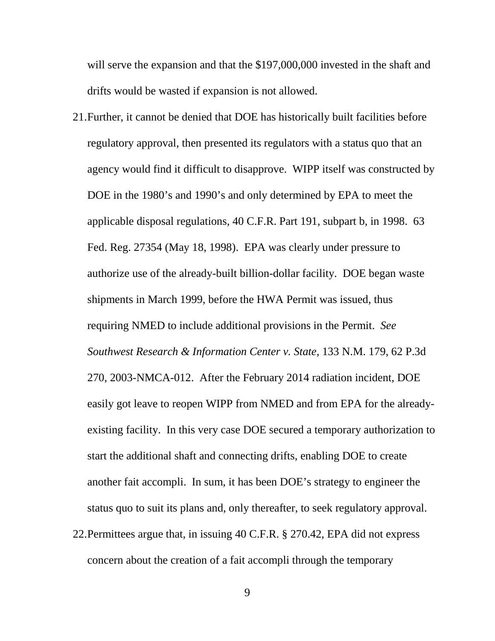will serve the expansion and that the \$197,000,000 invested in the shaft and drifts would be wasted if expansion is not allowed.

- 21.Further, it cannot be denied that DOE has historically built facilities before regulatory approval, then presented its regulators with a status quo that an agency would find it difficult to disapprove. WIPP itself was constructed by DOE in the 1980's and 1990's and only determined by EPA to meet the applicable disposal regulations, 40 C.F.R. Part 191, subpart b, in 1998. 63 Fed. Reg. 27354 (May 18, 1998). EPA was clearly under pressure to authorize use of the already-built billion-dollar facility. DOE began waste shipments in March 1999, before the HWA Permit was issued, thus requiring NMED to include additional provisions in the Permit. *See Southwest Research & Information Center v. State,* 133 N.M. 179, 62 P.3d 270, 2003-NMCA-012. After the February 2014 radiation incident, DOE easily got leave to reopen WIPP from NMED and from EPA for the alreadyexisting facility. In this very case DOE secured a temporary authorization to start the additional shaft and connecting drifts, enabling DOE to create another fait accompli. In sum, it has been DOE's strategy to engineer the status quo to suit its plans and, only thereafter, to seek regulatory approval.
- 22.Permittees argue that, in issuing 40 C.F.R. § 270.42, EPA did not express concern about the creation of a fait accompli through the temporary

9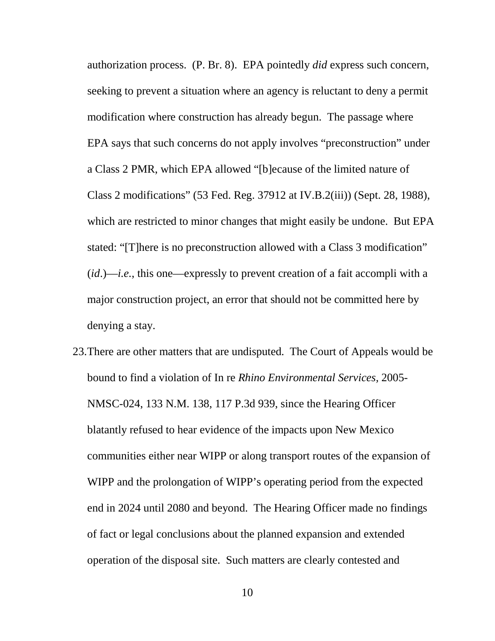authorization process. (P. Br. 8). EPA pointedly *did* express such concern, seeking to prevent a situation where an agency is reluctant to deny a permit modification where construction has already begun. The passage where EPA says that such concerns do not apply involves "preconstruction" under a Class 2 PMR, which EPA allowed "[b]ecause of the limited nature of Class 2 modifications" (53 Fed. Reg. 37912 at IV.B.2(iii)) (Sept. 28, 1988), which are restricted to minor changes that might easily be undone. But EPA stated: "[T]here is no preconstruction allowed with a Class 3 modification" (*id*.)—*i.e.*, this one—expressly to prevent creation of a fait accompli with a major construction project, an error that should not be committed here by denying a stay.

23.There are other matters that are undisputed. The Court of Appeals would be bound to find a violation of In re *Rhino Environmental Services,* 2005- NMSC-024, 133 N.M. 138, 117 P.3d 939, since the Hearing Officer blatantly refused to hear evidence of the impacts upon New Mexico communities either near WIPP or along transport routes of the expansion of WIPP and the prolongation of WIPP's operating period from the expected end in 2024 until 2080 and beyond. The Hearing Officer made no findings of fact or legal conclusions about the planned expansion and extended operation of the disposal site. Such matters are clearly contested and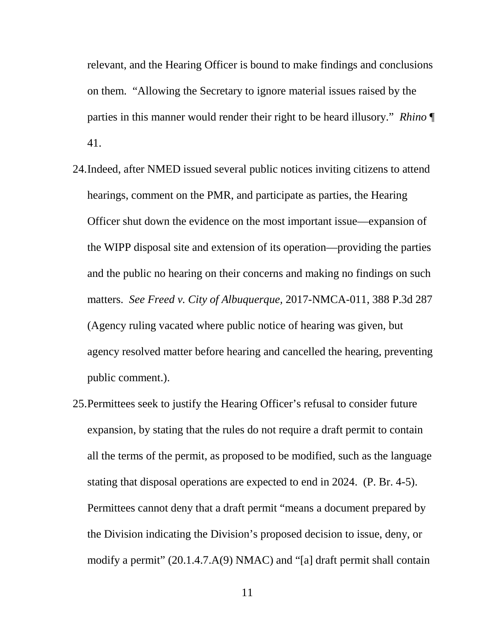relevant, and the Hearing Officer is bound to make findings and conclusions on them. "Allowing the Secretary to ignore material issues raised by the parties in this manner would render their right to be heard illusory." *Rhino* ¶ 41.

- 24.Indeed, after NMED issued several public notices inviting citizens to attend hearings, comment on the PMR, and participate as parties, the Hearing Officer shut down the evidence on the most important issue—expansion of the WIPP disposal site and extension of its operation—providing the parties and the public no hearing on their concerns and making no findings on such matters. *See Freed v. City of Albuquerque,* 2017-NMCA-011, 388 P.3d 287 (Agency ruling vacated where public notice of hearing was given, but agency resolved matter before hearing and cancelled the hearing, preventing public comment.).
- 25.Permittees seek to justify the Hearing Officer's refusal to consider future expansion, by stating that the rules do not require a draft permit to contain all the terms of the permit, as proposed to be modified, such as the language stating that disposal operations are expected to end in 2024. (P. Br. 4-5). Permittees cannot deny that a draft permit "means a document prepared by the Division indicating the Division's proposed decision to issue, deny, or modify a permit" (20.1.4.7.A(9) NMAC) and "[a] draft permit shall contain

11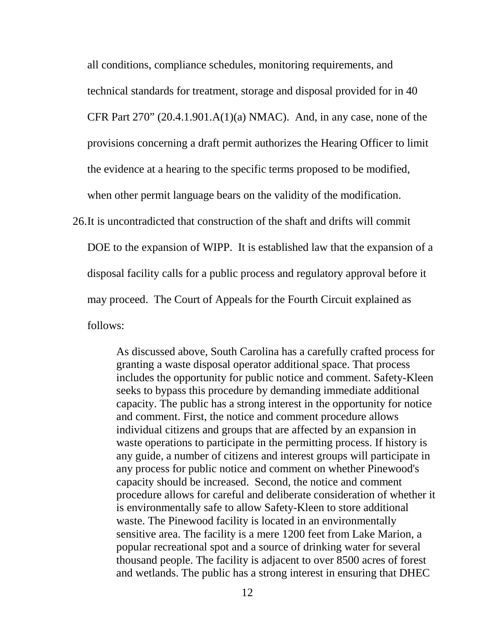all conditions, compliance schedules, monitoring requirements, and

technical standards for treatment, storage and disposal provided for in 40

CFR Part 270" (20.4.1.901.A(1)(a) NMAC). And, in any case, none of the

provisions concerning a draft permit authorizes the Hearing Officer to limit

the evidence at a hearing to the specific terms proposed to be modified,

when other permit language bears on the validity of the modification.

26.It is uncontradicted that construction of the shaft and drifts will commit DOE to the expansion of WIPP. It is established law that the expansion of a disposal facility calls for a public process and regulatory approval before it may proceed. The Court of Appeals for the Fourth Circuit explained as follows:

> As discussed above, South Carolina has a carefully crafted process for granting a waste disposal operator additional [s](https://advance.lexis.com/search/?pdmfid=1000516&crid=7f4ace67-e7c5-4f31-b181-52748dad4346&pdsearchterms=274+F.3d+846&pdstartin=hlct%3A1%3A2&pdtypeofsearch=searchboxclick&pdsearchtype=SearchBox&pdqttype=and&pdquerytemplateid=&ecomp=9gr9k&prid=d9df9833-7260-451f-bfd8-7ad0b273adf3)pace. That process includes the opportunity for public notice and comment. Safety-Kleen seeks to bypass this procedure by demanding immediate additional capacity. The public has a strong interest in the opportunity for notice and comment. First, the notice and comment procedure allows individual citizens and groups that are affected by an expansion in waste operations to participate in the permitting process. If history is any guide, a number of citizens and interest groups will participate in any process for public notice and comment on whether Pinewood's capacity should be increased. Second, the notice and comment procedure allows for careful and deliberate consideration of whether it is environmentally safe to allow Safety-Kleen to store additional waste. The Pinewood facility is located in an environmentally sensitive area. The facility is a mere 1200 feet from Lake Marion, a popular recreational spot and a source of drinking water for several thousand people. The facility is adjacent to over 8500 acres of forest and wetlands. The public has a strong interest in ensuring that DHEC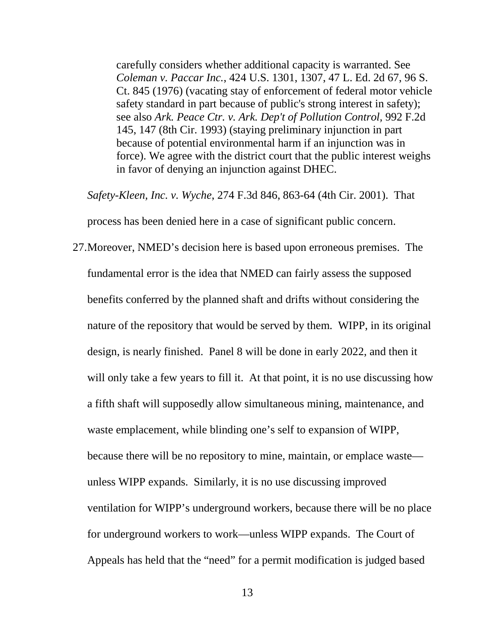carefully considers whether additional capacity is warranted. See *Coleman v. Paccar Inc.*[, 424 U.S. 1301, 1307, 47 L. Ed. 2d 67, 96 S.](https://advance.lexis.com/search/?pdmfid=1000516&crid=7f4ace67-e7c5-4f31-b181-52748dad4346&pdsearchterms=274+F.3d+846&pdstartin=hlct%3A1%3A2&pdtypeofsearch=searchboxclick&pdsearchtype=SearchBox&pdqttype=and&pdquerytemplateid=&ecomp=9gr9k&prid=d9df9833-7260-451f-bfd8-7ad0b273adf3)  [Ct. 845 \(1976\)](https://advance.lexis.com/search/?pdmfid=1000516&crid=7f4ace67-e7c5-4f31-b181-52748dad4346&pdsearchterms=274+F.3d+846&pdstartin=hlct%3A1%3A2&pdtypeofsearch=searchboxclick&pdsearchtype=SearchBox&pdqttype=and&pdquerytemplateid=&ecomp=9gr9k&prid=d9df9833-7260-451f-bfd8-7ad0b273adf3) (vacating stay of enforcement of federal motor vehicle safety standard in part because of public's strong interest in safety); see also *[Ark. Peace Ctr. v. Ark. Dep't of Pollution Control,](https://advance.lexis.com/search/?pdmfid=1000516&crid=7f4ace67-e7c5-4f31-b181-52748dad4346&pdsearchterms=274+F.3d+846&pdstartin=hlct%3A1%3A2&pdtypeofsearch=searchboxclick&pdsearchtype=SearchBox&pdqttype=and&pdquerytemplateid=&ecomp=9gr9k&prid=d9df9833-7260-451f-bfd8-7ad0b273adf3)* 992 F.2d [145, 147 \(8th C](https://advance.lexis.com/search/?pdmfid=1000516&crid=7f4ace67-e7c5-4f31-b181-52748dad4346&pdsearchterms=274+F.3d+846&pdstartin=hlct%3A1%3A2&pdtypeofsearch=searchboxclick&pdsearchtype=SearchBox&pdqttype=and&pdquerytemplateid=&ecomp=9gr9k&prid=d9df9833-7260-451f-bfd8-7ad0b273adf3)ir. 1993) (staying preliminary injunction in part because of potential environmental harm if an injunction was in force). We agree with the district court that the public interest weighs in favor of denying an injunction against DHEC.

*Safety-Kleen, Inc. v. Wyche*, 274 F.3d 846, 863-64 (4th Cir. 2001). That

process has been denied here in a case of significant public concern.

27.Moreover, NMED's decision here is based upon erroneous premises. The fundamental error is the idea that NMED can fairly assess the supposed benefits conferred by the planned shaft and drifts without considering the nature of the repository that would be served by them. WIPP, in its original design, is nearly finished. Panel 8 will be done in early 2022, and then it will only take a few years to fill it. At that point, it is no use discussing how a fifth shaft will supposedly allow simultaneous mining, maintenance, and waste emplacement, while blinding one's self to expansion of WIPP, because there will be no repository to mine, maintain, or emplace waste unless WIPP expands. Similarly, it is no use discussing improved ventilation for WIPP's underground workers, because there will be no place for underground workers to work—unless WIPP expands. The Court of Appeals has held that the "need" for a permit modification is judged based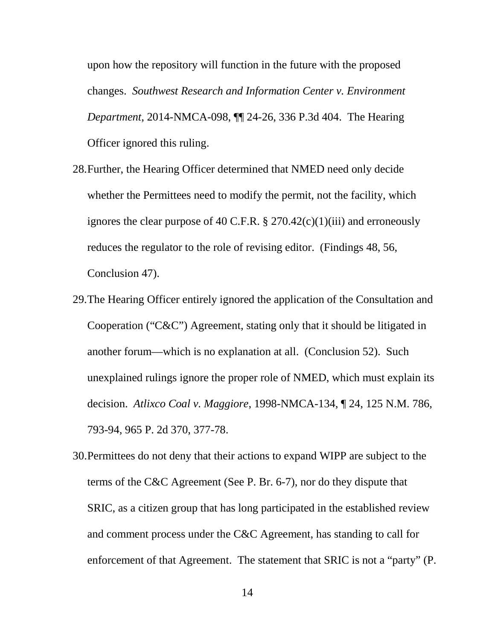upon how the repository will function in the future with the proposed changes. *Southwest Research and Information Center v. Environment Department*, 2014-NMCA-098, ¶¶ 24-26, 336 P.3d 404. The Hearing Officer ignored this ruling.

- 28.Further, the Hearing Officer determined that NMED need only decide whether the Permittees need to modify the permit, not the facility, which ignores the clear purpose of 40 C.F.R.  $\S 270.42(c)(1)(iii)$  and erroneously reduces the regulator to the role of revising editor. (Findings 48, 56, Conclusion 47).
- 29.The Hearing Officer entirely ignored the application of the Consultation and Cooperation ("C&C") Agreement, stating only that it should be litigated in another forum—which is no explanation at all. (Conclusion 52). Such unexplained rulings ignore the proper role of NMED, which must explain its decision. *Atlixco Coal v. Maggiore*, 1998-NMCA-134, ¶ 24, 125 N.M. 786, 793-94, 965 P. 2d 370, 377-78.
- 30.Permittees do not deny that their actions to expand WIPP are subject to the terms of the C&C Agreement (See P. Br. 6-7), nor do they dispute that SRIC, as a citizen group that has long participated in the established review and comment process under the C&C Agreement, has standing to call for enforcement of that Agreement. The statement that SRIC is not a "party" (P.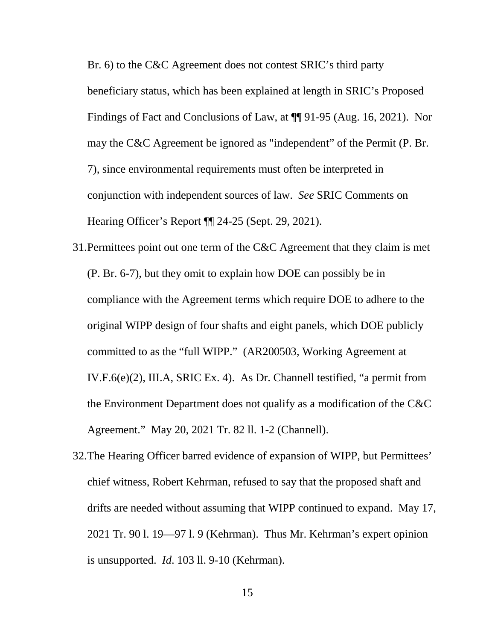Br. 6) to the C&C Agreement does not contest SRIC's third party beneficiary status, which has been explained at length in SRIC's Proposed Findings of Fact and Conclusions of Law, at ¶¶ 91-95 (Aug. 16, 2021). Nor may the C&C Agreement be ignored as "independent" of the Permit (P. Br. 7), since environmental requirements must often be interpreted in conjunction with independent sources of law. *See* SRIC Comments on Hearing Officer's Report ¶¶ 24-25 (Sept. 29, 2021).

- 31.Permittees point out one term of the C&C Agreement that they claim is met (P. Br. 6-7), but they omit to explain how DOE can possibly be in compliance with the Agreement terms which require DOE to adhere to the original WIPP design of four shafts and eight panels, which DOE publicly committed to as the "full WIPP." (AR200503, Working Agreement at IV.F.6(e)(2), III.A, SRIC Ex. 4). As Dr. Channell testified, "a permit from the Environment Department does not qualify as a modification of the C&C Agreement." May 20, 2021 Tr. 82 ll. 1-2 (Channell).
- 32.The Hearing Officer barred evidence of expansion of WIPP, but Permittees' chief witness, Robert Kehrman, refused to say that the proposed shaft and drifts are needed without assuming that WIPP continued to expand. May 17, 2021 Tr. 90 l. 19—97 l. 9 (Kehrman). Thus Mr. Kehrman's expert opinion is unsupported. *Id*. 103 ll. 9-10 (Kehrman).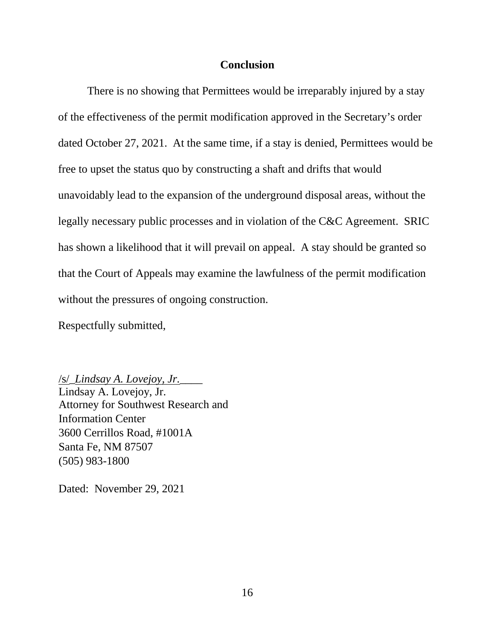## **Conclusion**

There is no showing that Permittees would be irreparably injured by a stay of the effectiveness of the permit modification approved in the Secretary's order dated October 27, 2021. At the same time, if a stay is denied, Permittees would be free to upset the status quo by constructing a shaft and drifts that would unavoidably lead to the expansion of the underground disposal areas, without the legally necessary public processes and in violation of the C&C Agreement. SRIC has shown a likelihood that it will prevail on appeal. A stay should be granted so that the Court of Appeals may examine the lawfulness of the permit modification without the pressures of ongoing construction.

Respectfully submitted,

/s/\_*Lindsay A. Lovejoy, Jr.*\_\_\_\_ Lindsay A. Lovejoy, Jr. Attorney for Southwest Research and Information Center 3600 Cerrillos Road, #1001A Santa Fe, NM 87507 (505) 983-1800

Dated: November 29, 2021